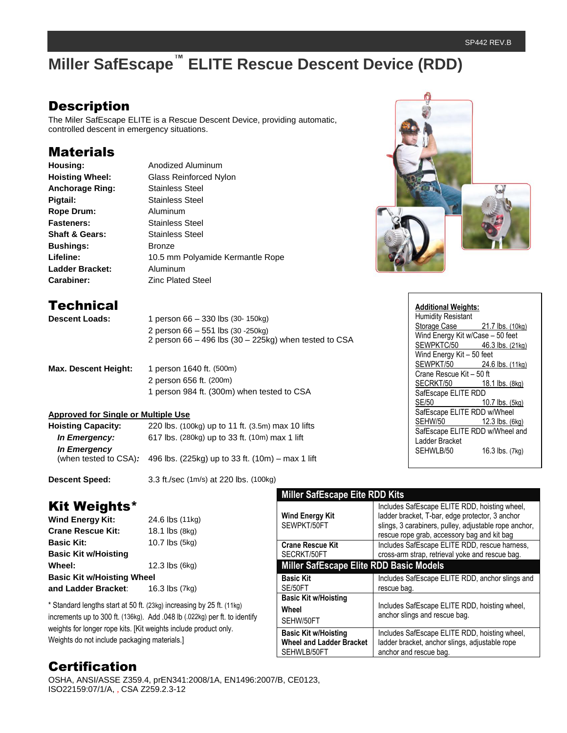## **Description**

The Miler SafEscape ELITE is a Rescue Descent Device, providing automatic, controlled descent in emergency situations.

### **Materials**

| Housing:                  | Anodized Aluminum                |  |
|---------------------------|----------------------------------|--|
| <b>Hoisting Wheel:</b>    | Glass Reinforced Nylon           |  |
| <b>Anchorage Ring:</b>    | Stainless Steel                  |  |
| Pigtail:                  | <b>Stainless Steel</b>           |  |
| <b>Rope Drum:</b>         | Aluminum                         |  |
| <b>Fasteners:</b>         | <b>Stainless Steel</b>           |  |
| <b>Shaft &amp; Gears:</b> | <b>Stainless Steel</b>           |  |
| <b>Bushings:</b>          | <b>Bronze</b>                    |  |
| Lifeline:                 | 10.5 mm Polyamide Kermantle Rope |  |
| <b>Ladder Bracket:</b>    | Aluminum                         |  |
| Carabiner:                | <b>Zinc Plated Steel</b>         |  |
|                           |                                  |  |

## **Technical**

| <b>Descent Loads:</b> | 1 person $66 - 330$ lbs $(30 - 150 \text{kg})$            |
|-----------------------|-----------------------------------------------------------|
|                       | 2 person $66 - 551$ lbs $(30 - 250 \text{kg})$            |
|                       | 2 person $66 - 496$ lbs $(30 - 225kg)$ when tested to CSA |

| <b>Max. Descent Height:</b> | 1 person 1640 ft. (500m)                   |
|-----------------------------|--------------------------------------------|
|                             | 2 person 656 ft. (200m)                    |
|                             | 1 person 984 ft. (300m) when tested to CSA |

### **Approved for Single or Multiple Use**

| <b>Hoisting Capacity:</b> | 220 lbs. (100kg) up to 11 ft. (3.5m) max 10 lifts                        |
|---------------------------|--------------------------------------------------------------------------|
| In Emergency:             | 617 lbs. (280kg) up to 33 ft. (10m) max 1 lift                           |
| <b>In Emergency</b>       |                                                                          |
|                           | (when tested to CSA): $496$ lbs. (225kg) up to 33 ft. (10m) – max 1 lift |

**Descent Speed:** 3.3 ft./sec (1m/s) at 220 lbs. (100kg)

## Kit Weights\*

**Wind Energy Kit:** 24.6 lbs (11kg) **Crane Rescue Kit:** 18.1 lbs (8kg) **Basic Kit:** 10.7 lbs (5kg) **Basic Kit w/Hoisting Wheel:** 12.3 lbs (6kg) **Basic Kit w/Hoisting Wheel and Ladder Bracket**: 16.3 lbs (7kg)

\* Standard lengths start at 50 ft. (23kg) increasing by 25 ft. (11kg) increments up to 300 ft. (136kg). Add .048 lb (.022kg) per ft. to identify weights for longer rope kits. [Kit weights include product only. Weights do not include packaging materials.]

#### **Miller SafEscape Eite RDD Kits Wind Energy Kit**  SEWPKT/50FT Includes SafEscape ELITE RDD, hoisting wheel, ladder bracket, T-bar, edge protector, 3 anchor slings, 3 carabiners, pulley, adjustable rope anchor, rescue rope grab, accessory bag and kit bag **Crane Rescue Kit** SECRKT/50FT Includes SafEscape ELITE RDD, rescue harness, cross-arm strap, retrieval yoke and rescue bag. **Miller SafEscape Elite RDD Basic Models Basic Kit** SE/50FT Includes SafEscape ELITE RDD, anchor slings and rescue bag. **Basic Kit w/Hoisting Wheel** SEHW/50FT Includes SafEscape ELITE RDD, hoisting wheel, anchor slings and rescue bag. **Basic Kit w/Hoisting Wheel and Ladder Bracket** SEHWLB/50FT Includes SafEscape ELITE RDD, hoisting wheel, ladder bracket, anchor slings, adjustable rope anchor and rescue bag.

## **Certification**

OSHA, ANSI/ASSE Z359.4, prEN341:2008/1A, EN1496:2007/B, CE0123, ISO22159:07/1/A, , CSA Z259.2.3-12



| <b>Additional Weights:</b>       |                  |  |
|----------------------------------|------------------|--|
| <b>Humidity Resistant</b>        |                  |  |
| Storage Case                     | 21.7 lbs. (10kg) |  |
| Wind Energy Kit w/Case - 50 feet |                  |  |
| SEWPKTC/50 46.3 lbs. (21kg)      |                  |  |
| Wind Energy Kit - 50 feet        |                  |  |
| SEWPKT/50                        | 24.6 lbs. (11kg) |  |
| Crane Rescue Kit - 50 ft         |                  |  |
| SECRKT/50 18.1 lbs. (8kg)        |                  |  |
| SafEscape ELITE RDD              |                  |  |
| <b>SE/50</b>                     | 10.7 lbs. (5kg)  |  |
| SafEscape ELITE RDD w/Wheel      |                  |  |
| SEHW/50                          | 12.3 lbs. (6kg)  |  |
| SafEscape ELITE RDD w/Wheel and  |                  |  |
| Ladder Bracket                   |                  |  |
| SEHWLB/50                        | 16.3 lbs. (7kg)  |  |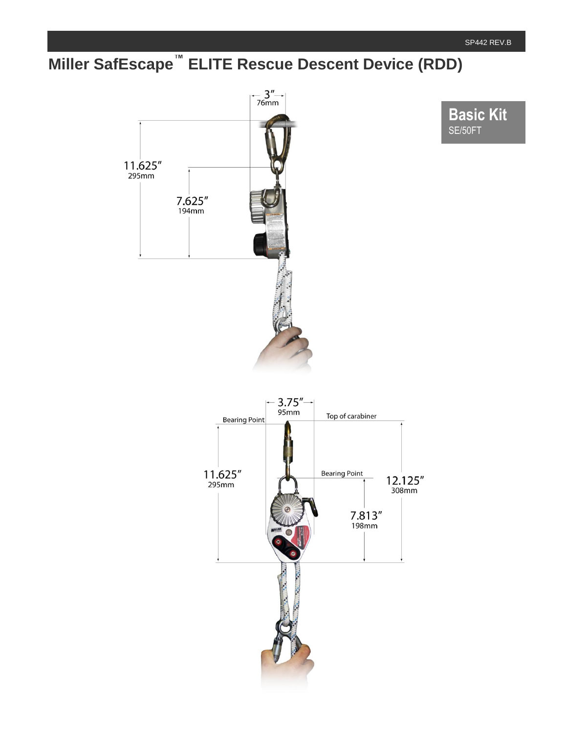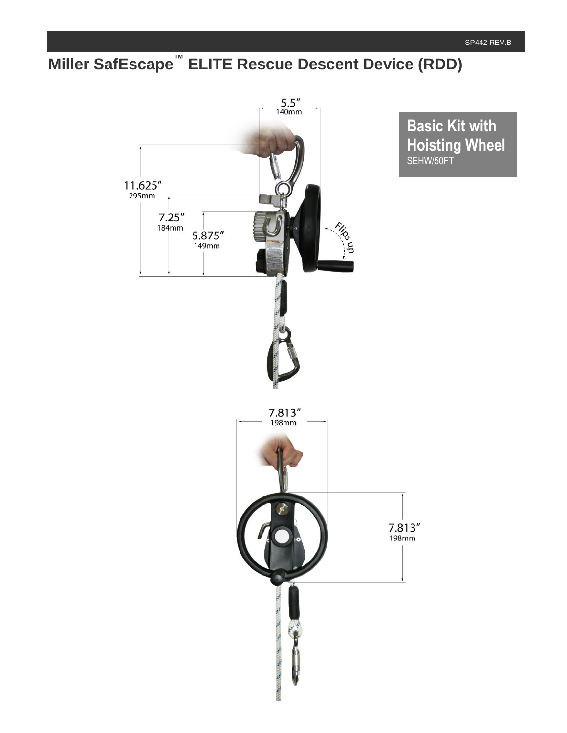

**Basic Kit with Hoisting Wheel** SEHW/50FT